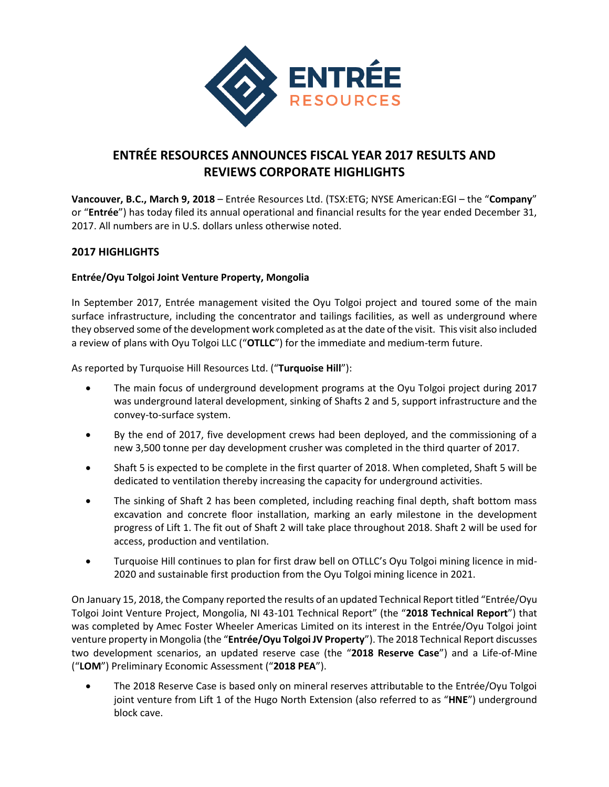

# **ENTRÉE RESOURCES ANNOUNCES FISCAL YEAR 2017 RESULTS AND REVIEWS CORPORATE HIGHLIGHTS**

**Vancouver, B.C., March 9, 2018** – Entrée Resources Ltd. (TSX:ETG; NYSE American:EGI – the "**Company**" or "**Entrée**") has today filed its annual operational and financial results for the year ended December 31, 2017. All numbers are in U.S. dollars unless otherwise noted.

## **2017 HIGHLIGHTS**

#### **Entrée/Oyu Tolgoi Joint Venture Property, Mongolia**

In September 2017, Entrée management visited the Oyu Tolgoi project and toured some of the main surface infrastructure, including the concentrator and tailings facilities, as well as underground where they observed some of the development work completed as at the date of the visit. This visit also included a review of plans with Oyu Tolgoi LLC ("**OTLLC**") for the immediate and medium-term future.

As reported by Turquoise Hill Resources Ltd. ("**Turquoise Hill**"):

- The main focus of underground development programs at the Oyu Tolgoi project during 2017 was underground lateral development, sinking of Shafts 2 and 5, support infrastructure and the convey-to-surface system.
- By the end of 2017, five development crews had been deployed, and the commissioning of a new 3,500 tonne per day development crusher was completed in the third quarter of 2017.
- Shaft 5 is expected to be complete in the first quarter of 2018. When completed, Shaft 5 will be dedicated to ventilation thereby increasing the capacity for underground activities.
- The sinking of Shaft 2 has been completed, including reaching final depth, shaft bottom mass excavation and concrete floor installation, marking an early milestone in the development progress of Lift 1. The fit out of Shaft 2 will take place throughout 2018. Shaft 2 will be used for access, production and ventilation.
- Turquoise Hill continues to plan for first draw bell on OTLLC's Oyu Tolgoi mining licence in mid-2020 and sustainable first production from the Oyu Tolgoi mining licence in 2021.

On January 15, 2018, the Company reported the results of an updated Technical Report titled "Entrée/Oyu Tolgoi Joint Venture Project, Mongolia, NI 43-101 Technical Report" (the "**2018 Technical Report**") that was completed by Amec Foster Wheeler Americas Limited on its interest in the Entrée/Oyu Tolgoi joint venture property in Mongolia (the "**Entrée/Oyu Tolgoi JV Property**"). The 2018 Technical Report discusses two development scenarios, an updated reserve case (the "**2018 Reserve Case**") and a Life-of-Mine ("**LOM**") Preliminary Economic Assessment ("**2018 PEA**").

• The 2018 Reserve Case is based only on mineral reserves attributable to the Entrée/Oyu Tolgoi joint venture from Lift 1 of the Hugo North Extension (also referred to as "**HNE**") underground block cave.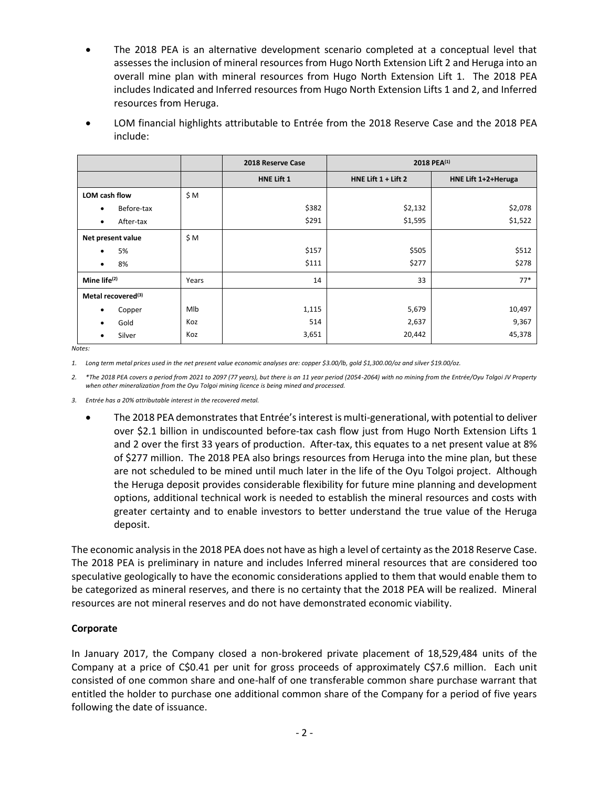• The 2018 PEA is an alternative development scenario completed at a conceptual level that assesses the inclusion of mineral resources from Hugo North Extension Lift 2 and Heruga into an overall mine plan with mineral resources from Hugo North Extension Lift 1. The 2018 PEA includes Indicated and Inferred resources from Hugo North Extension Lifts 1 and 2, and Inferred resources from Heruga.

| LOM financial highlights attributable to Entrée from the 2018 Reserve Case and the 2018 PEA |
|---------------------------------------------------------------------------------------------|
| include:                                                                                    |

|                                |       | 2018 Reserve Case | 2018 PEA <sup>(1)</sup> |                     |
|--------------------------------|-------|-------------------|-------------------------|---------------------|
|                                |       | <b>HNE Lift 1</b> | HNE Lift $1 +$ Lift 2   | HNE Lift 1+2+Heruga |
| LOM cash flow                  | \$M   |                   |                         |                     |
| Before-tax<br>$\bullet$        |       | \$382             | \$2,132                 | \$2,078             |
| After-tax<br>$\bullet$         |       | \$291             | \$1,595                 | \$1,522             |
| Net present value              | \$M   |                   |                         |                     |
| 5%<br>$\bullet$                |       | \$157             | \$505                   | \$512               |
| 8%<br>$\bullet$                |       | \$111             | \$277                   | \$278               |
| Mine life $(2)$                | Years | 14                | 33                      | $77*$               |
| Metal recovered <sup>(3)</sup> |       |                   |                         |                     |
| Copper<br>٠                    | Mlb   | 1,115             | 5,679                   | 10,497              |
| Gold<br>$\bullet$              | Koz   | 514               | 2,637                   | 9,367               |
| Silver                         | Koz   | 3,651             | 20,442                  | 45,378              |

*Notes:*

*1. Long term metal prices used in the net present value economic analyses are: copper \$3.00/lb, gold \$1,300.00/oz and silver \$19.00/oz.*

*2. \*The 2018 PEA covers a period from 2021 to 2097 (77 years), but there is an 11 year period (2054-2064) with no mining from the Entrée/Oyu Tolgoi JV Property when other mineralization from the Oyu Tolgoi mining licence is being mined and processed.*

*3. Entrée has a 20% attributable interest in the recovered metal.*

• The 2018 PEA demonstrates that Entrée's interest is multi-generational, with potential to deliver over \$2.1 billion in undiscounted before-tax cash flow just from Hugo North Extension Lifts 1 and 2 over the first 33 years of production. After-tax, this equates to a net present value at 8% of \$277 million. The 2018 PEA also brings resources from Heruga into the mine plan, but these are not scheduled to be mined until much later in the life of the Oyu Tolgoi project. Although the Heruga deposit provides considerable flexibility for future mine planning and development options, additional technical work is needed to establish the mineral resources and costs with greater certainty and to enable investors to better understand the true value of the Heruga deposit.

The economic analysis in the 2018 PEA does not have as high a level of certainty as the 2018 Reserve Case. The 2018 PEA is preliminary in nature and includes Inferred mineral resources that are considered too speculative geologically to have the economic considerations applied to them that would enable them to be categorized as mineral reserves, and there is no certainty that the 2018 PEA will be realized. Mineral resources are not mineral reserves and do not have demonstrated economic viability.

#### **Corporate**

In January 2017, the Company closed a non-brokered private placement of 18,529,484 units of the Company at a price of C\$0.41 per unit for gross proceeds of approximately C\$7.6 million. Each unit consisted of one common share and one-half of one transferable common share purchase warrant that entitled the holder to purchase one additional common share of the Company for a period of five years following the date of issuance.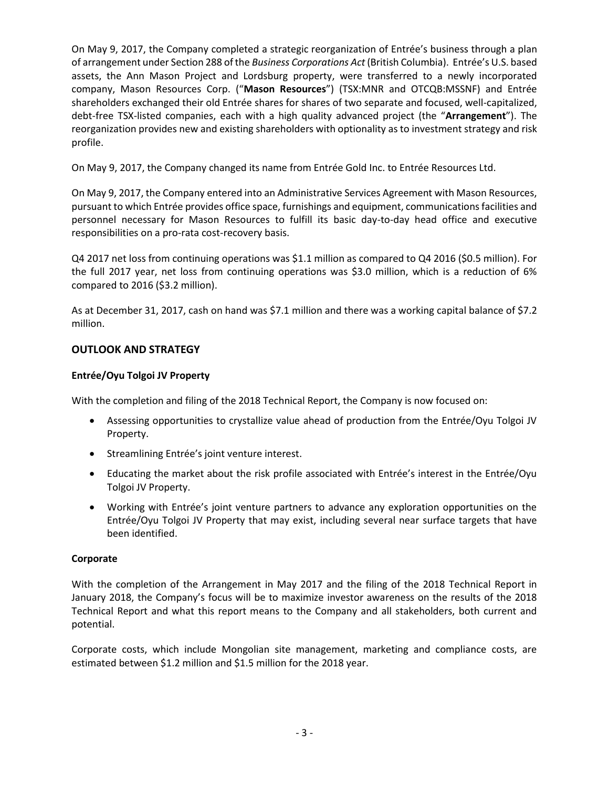On May 9, 2017, the Company completed a strategic reorganization of Entrée's business through a plan of arrangement under Section 288 of the *Business Corporations Act* (British Columbia). Entrée's U.S. based assets, the Ann Mason Project and Lordsburg property, were transferred to a newly incorporated company, Mason Resources Corp. ("**Mason Resources**") (TSX:MNR and OTCQB:MSSNF) and Entrée shareholders exchanged their old Entrée shares for shares of two separate and focused, well-capitalized, debt-free TSX-listed companies, each with a high quality advanced project (the "**Arrangement**"). The reorganization provides new and existing shareholders with optionality as to investment strategy and risk profile.

On May 9, 2017, the Company changed its name from Entrée Gold Inc. to Entrée Resources Ltd.

On May 9, 2017, the Company entered into an Administrative Services Agreement with Mason Resources, pursuant to which Entrée provides office space, furnishings and equipment, communications facilities and personnel necessary for Mason Resources to fulfill its basic day-to-day head office and executive responsibilities on a pro-rata cost-recovery basis.

Q4 2017 net loss from continuing operations was \$1.1 million as compared to Q4 2016 (\$0.5 million). For the full 2017 year, net loss from continuing operations was \$3.0 million, which is a reduction of 6% compared to 2016 (\$3.2 million).

As at December 31, 2017, cash on hand was \$7.1 million and there was a working capital balance of \$7.2 million.

# **OUTLOOK AND STRATEGY**

#### **Entrée/Oyu Tolgoi JV Property**

With the completion and filing of the 2018 Technical Report, the Company is now focused on:

- Assessing opportunities to crystallize value ahead of production from the Entrée/Oyu Tolgoi JV Property.
- Streamlining Entrée's joint venture interest.
- Educating the market about the risk profile associated with Entrée's interest in the Entrée/Oyu Tolgoi JV Property.
- Working with Entrée's joint venture partners to advance any exploration opportunities on the Entrée/Oyu Tolgoi JV Property that may exist, including several near surface targets that have been identified.

#### **Corporate**

With the completion of the Arrangement in May 2017 and the filing of the 2018 Technical Report in January 2018, the Company's focus will be to maximize investor awareness on the results of the 2018 Technical Report and what this report means to the Company and all stakeholders, both current and potential.

Corporate costs, which include Mongolian site management, marketing and compliance costs, are estimated between \$1.2 million and \$1.5 million for the 2018 year.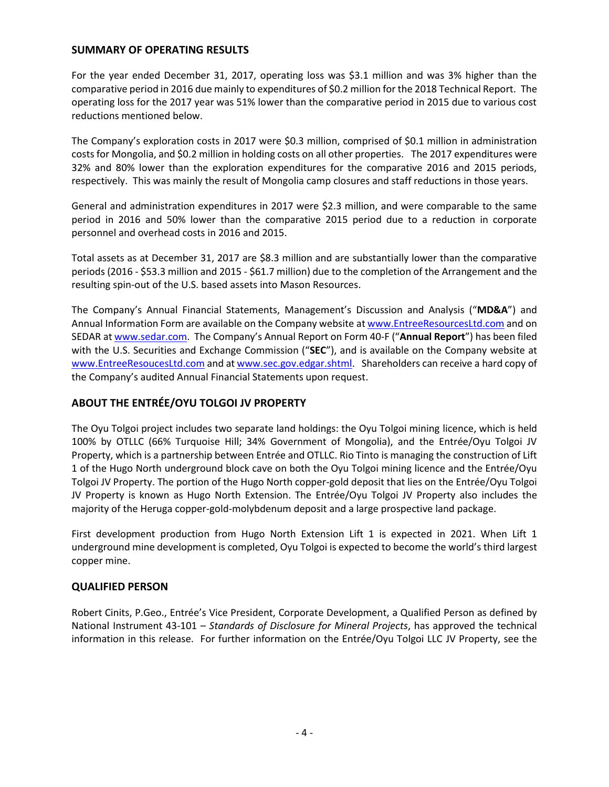#### **SUMMARY OF OPERATING RESULTS**

For the year ended December 31, 2017, operating loss was \$3.1 million and was 3% higher than the comparative period in 2016 due mainly to expenditures of \$0.2 million for the 2018 Technical Report. The operating loss for the 2017 year was 51% lower than the comparative period in 2015 due to various cost reductions mentioned below.

The Company's exploration costs in 2017 were \$0.3 million, comprised of \$0.1 million in administration costs for Mongolia, and \$0.2 million in holding costs on all other properties. The 2017 expenditures were 32% and 80% lower than the exploration expenditures for the comparative 2016 and 2015 periods, respectively. This was mainly the result of Mongolia camp closures and staff reductions in those years.

General and administration expenditures in 2017 were \$2.3 million, and were comparable to the same period in 2016 and 50% lower than the comparative 2015 period due to a reduction in corporate personnel and overhead costs in 2016 and 2015.

Total assets as at December 31, 2017 are \$8.3 million and are substantially lower than the comparative periods (2016 - \$53.3 million and 2015 - \$61.7 million) due to the completion of the Arrangement and the resulting spin-out of the U.S. based assets into Mason Resources.

The Company's Annual Financial Statements, Management's Discussion and Analysis ("**MD&A**") and Annual Information Form are available on the Company website a[t www.EntreeResourcesLtd.com](http://www.entreeresourcesltd.com/) and on SEDAR at [www.sedar.com.](http://www.sedar.com/) The Company's Annual Report on Form 40-F ("**Annual Report**") has been filed with the U.S. Securities and Exchange Commission ("**SEC**"), and is available on the Company website at [www.EntreeResoucesLtd.com](http://www.entreeresoucesltd.com/) and a[t www.sec.gov.edgar.shtml.](http://www.sec.gov.edgar.shtml/) Shareholders can receive a hard copy of the Company's audited Annual Financial Statements upon request.

# **ABOUT THE ENTRÉE/OYU TOLGOI JV PROPERTY**

The Oyu Tolgoi project includes two separate land holdings: the Oyu Tolgoi mining licence, which is held 100% by OTLLC (66% Turquoise Hill; 34% Government of Mongolia), and the Entrée/Oyu Tolgoi JV Property, which is a partnership between Entrée and OTLLC. Rio Tinto is managing the construction of Lift 1 of the Hugo North underground block cave on both the Oyu Tolgoi mining licence and the Entrée/Oyu Tolgoi JV Property. The portion of the Hugo North copper-gold deposit that lies on the Entrée/Oyu Tolgoi JV Property is known as Hugo North Extension. The Entrée/Oyu Tolgoi JV Property also includes the majority of the Heruga copper-gold-molybdenum deposit and a large prospective land package.

First development production from Hugo North Extension Lift 1 is expected in 2021. When Lift 1 underground mine development is completed, Oyu Tolgoi is expected to become the world's third largest copper mine.

## **QUALIFIED PERSON**

Robert Cinits, P.Geo., Entrée's Vice President, Corporate Development, a Qualified Person as defined by National Instrument 43-101 – *Standards of Disclosure for Mineral Projects*, has approved the technical information in this release. For further information on the Entrée/Oyu Tolgoi LLC JV Property, see the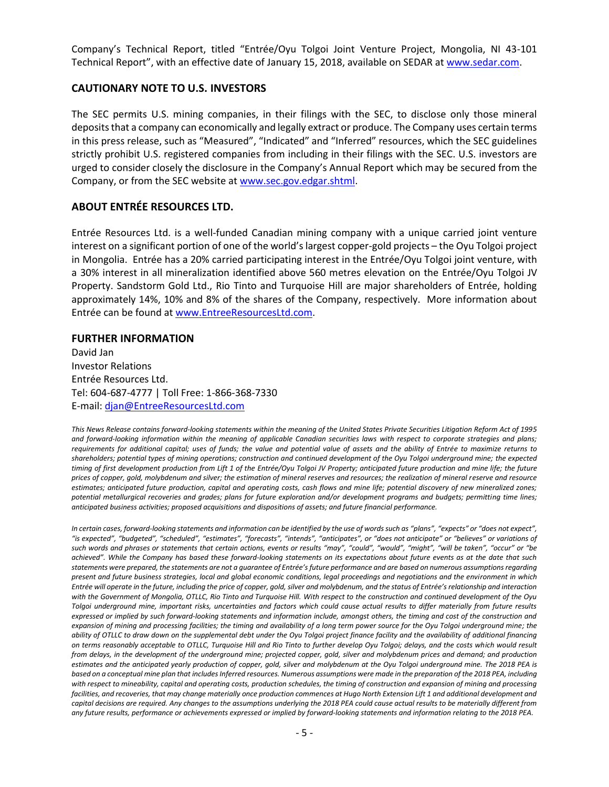Company's Technical Report, titled "Entrée/Oyu Tolgoi Joint Venture Project, Mongolia, NI 43-101 Technical Report", with an effective date of January 15, 2018, available on SEDAR at [www.sedar.com.](http://www.sedar.com/)

#### **CAUTIONARY NOTE TO U.S. INVESTORS**

The SEC permits U.S. mining companies, in their filings with the SEC, to disclose only those mineral deposits that a company can economically and legally extract or produce. The Company uses certain terms in this press release, such as "Measured", "Indicated" and "Inferred" resources, which the SEC guidelines strictly prohibit U.S. registered companies from including in their filings with the SEC. U.S. investors are urged to consider closely the disclosure in the Company's Annual Report which may be secured from the Company, or from the SEC website at [www.sec.gov.edgar.shtml.](http://www.sec.gov.edgar.shtml/)

# **ABOUT ENTRÉE RESOURCES LTD.**

Entrée Resources Ltd. is a well-funded Canadian mining company with a unique carried joint venture interest on a significant portion of one of the world's largest copper-gold projects – the Oyu Tolgoi project in Mongolia. Entrée has a 20% carried participating interest in the Entrée/Oyu Tolgoi joint venture, with a 30% interest in all mineralization identified above 560 metres elevation on the Entrée/Oyu Tolgoi JV Property. Sandstorm Gold Ltd., Rio Tinto and Turquoise Hill are major shareholders of Entrée, holding approximately 14%, 10% and 8% of the shares of the Company, respectively. More information about Entrée can be found a[t www.EntreeResourcesLtd.com.](http://www.entreeresourcesltd.com/)

#### **FURTHER INFORMATION**

David Jan Investor Relations Entrée Resources Ltd. Tel: 604-687-4777 | Toll Free: 1-866-368-7330 E-mail: [djan@EntreeResourcesLtd.com](mailto:djan@EntreeResourcesLtd.com)

*This News Release contains forward-looking statements within the meaning of the United States Private Securities Litigation Reform Act of 1995 and forward-looking information within the meaning of applicable Canadian securities laws with respect to corporate strategies and plans; requirements for additional capital; uses of funds; the value and potential value of assets and the ability of Entrée to maximize returns to shareholders; potential types of mining operations; construction and continued development of the Oyu Tolgoi underground mine; the expected timing of first development production from Lift 1 of the Entrée/Oyu Tolgoi JV Property; anticipated future production and mine life; the future prices of copper, gold, molybdenum and silver; the estimation of mineral reserves and resources; the realization of mineral reserve and resource estimates; anticipated future production, capital and operating costs, cash flows and mine life; potential discovery of new mineralized zones; potential metallurgical recoveries and grades; plans for future exploration and/or development programs and budgets; permitting time lines; anticipated business activities; proposed acquisitions and dispositions of assets; and future financial performance.*

In certain cases, forward-looking statements and information can be identified by the use of words such as "plans", "expects" or "does not expect", "is expected", "budgeted", "scheduled", "estimates", "forecasts", "intends", "anticipates", or "does not anticipate" or "believes" or variations of such words and phrases or statements that certain actions, events or results "may", "could", "would", "might", "will be taken", "occur" or "be *achieved". While the Company has based these forward-looking statements on its expectations about future events as at the date that such statements were prepared, the statements are not a guarantee of Entrée's future performance and are based on numerous assumptions regarding present and future business strategies, local and global economic conditions, legal proceedings and negotiations and the environment in which Entrée will operate in the future, including the price of copper, gold, silver and molybdenum, and the status of Entrée's relationship and interaction with the Government of Mongolia, OTLLC, Rio Tinto and Turquoise Hill. With respect to the construction and continued development of the Oyu Tolgoi underground mine, important risks, uncertainties and factors which could cause actual results to differ materially from future results expressed or implied by such forward-looking statements and information include, amongst others, the timing and cost of the construction and expansion of mining and processing facilities; the timing and availability of a long term power source for the Oyu Tolgoi underground mine; the ability of OTLLC to draw down on the supplemental debt under the Oyu Tolgoi project finance facility and the availability of additional financing on terms reasonably acceptable to OTLLC, Turquoise Hill and Rio Tinto to further develop Oyu Tolgoi; delays, and the costs which would result from delays, in the development of the underground mine; projected copper, gold, silver and molybdenum prices and demand; and production estimates and the anticipated yearly production of copper, gold, silver and molybdenum at the Oyu Tolgoi underground mine. The 2018 PEA is based on a conceptual mine plan that includes Inferred resources. Numerous assumptions were made in the preparation of the 2018 PEA, including with respect to mineability, capital and operating costs, production schedules, the timing of construction and expansion of mining and processing facilities, and recoveries, that may change materially once production commences at Hugo North Extension Lift 1 and additional development and capital decisions are required. Any changes to the assumptions underlying the 2018 PEA could cause actual results to be materially different from any future results, performance or achievements expressed or implied by forward-looking statements and information relating to the 2018 PEA.*